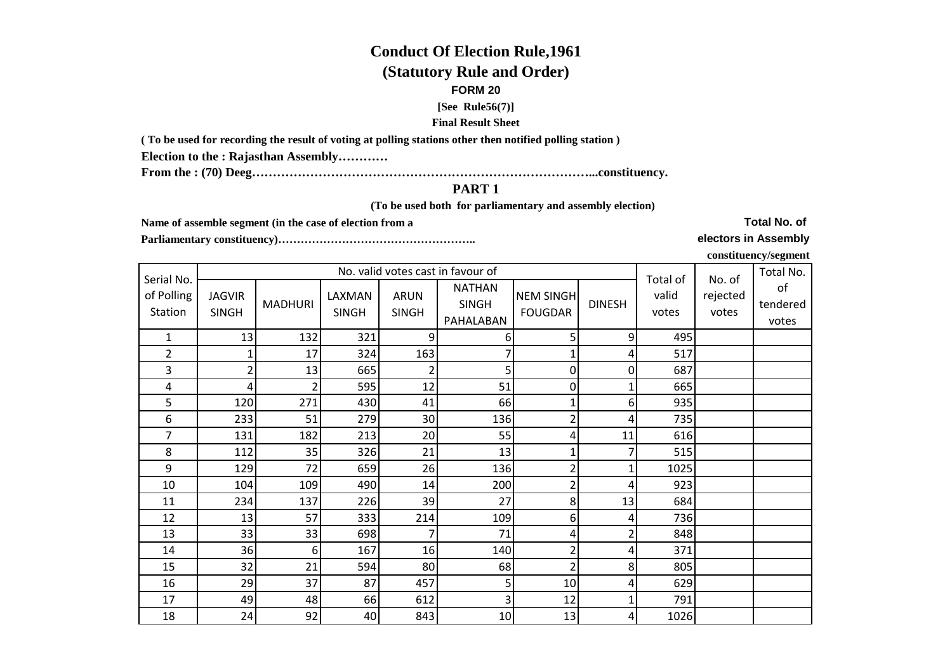# **Conduct Of Election Rule,1961**

# **(Statutory Rule and Order)**

#### **FORM 20**

#### **[See Rule56(7)]**

### **Final Result Sheet**

**( To be used for recording the result of voting at polling stations other then notified polling station )**

**Election to the : Rajasthan Assembly…………**

**From the : (70) Deeg………………………………………………………………………...constituency.**

## **PART 1**

 **(To be used both for parliamentary and assembly election)** 

**Name of assemble segment (in the case of election from a** 

**Parliamentary constituency)……………………………………………..** 

**Total No. of** 

**electors in Assembly**

**constituency/segment**

| Serial No.            |                               |                |                        | Total of                    | No. of                                     | Total No.                          |               |                |                   |                         |
|-----------------------|-------------------------------|----------------|------------------------|-----------------------------|--------------------------------------------|------------------------------------|---------------|----------------|-------------------|-------------------------|
| of Polling<br>Station | <b>JAGVIR</b><br><b>SINGH</b> | <b>MADHURI</b> | LAXMAN<br><b>SINGH</b> | <b>ARUN</b><br><b>SINGH</b> | <b>NATHAN</b><br><b>SINGH</b><br>PAHALABAN | <b>NEM SINGH</b><br><b>FOUGDAR</b> | <b>DINESH</b> | valid<br>votes | rejected<br>votes | of<br>tendered<br>votes |
| $\mathbf{1}$          | 13                            | 132            | 321                    | 9                           | 6                                          | 5                                  | 9             | 495            |                   |                         |
| 2                     | $\mathbf{1}$                  | 17             | 324                    | 163                         | 7                                          |                                    | 4             | 517            |                   |                         |
| 3                     | $\overline{2}$                | 13             | 665                    | $\overline{2}$              | 5                                          | 0                                  | 0             | 687            |                   |                         |
| 4                     | 4                             |                | 595                    | 12                          | 51                                         | 0                                  | 1             | 665            |                   |                         |
| 5                     | 120                           | 271            | 430                    | 41                          | 66                                         | 1                                  | 6             | 935            |                   |                         |
| 6                     | 233                           | 51             | 279                    | 30                          | 136                                        | $\overline{\mathbf{c}}$            | 4             | 735            |                   |                         |
| 7                     | 131                           | 182            | 213                    | 20                          | 55                                         | 4                                  | 11            | 616            |                   |                         |
| 8                     | 112                           | 35             | 326                    | 21                          | 13                                         | $\mathbf 1$                        | 7             | 515            |                   |                         |
| 9                     | 129                           | 72             | 659                    | 26                          | 136                                        | $\overline{2}$                     | 1             | 1025           |                   |                         |
| 10                    | 104                           | 109            | 490                    | 14                          | 200                                        | $\overline{2}$                     | 4             | 923            |                   |                         |
| 11                    | 234                           | 137            | 226                    | 39                          | 27                                         | 8                                  | 13            | 684            |                   |                         |
| 12                    | 13                            | 57             | 333                    | 214                         | 109                                        | 6                                  | 4             | 736            |                   |                         |
| 13                    | 33                            | 33             | 698                    | 7                           | 71                                         | 4                                  | 2             | 848            |                   |                         |
| 14                    | 36                            | 6              | 167                    | 16                          | 140                                        | $\overline{2}$                     | 4             | 371            |                   |                         |
| 15                    | 32                            | 21             | 594                    | 80                          | 68                                         | 2                                  | 8             | 805            |                   |                         |
| 16                    | 29                            | 37             | 87                     | 457                         | 5                                          | 10                                 | 4             | 629            |                   |                         |
| 17                    | 49                            | 48             | 66                     | 612                         | 3                                          | 12                                 | 1             | 791            |                   |                         |
| 18                    | 24                            | 92             | 40                     | 843                         | 10                                         | 13                                 | 4             | 1026           |                   |                         |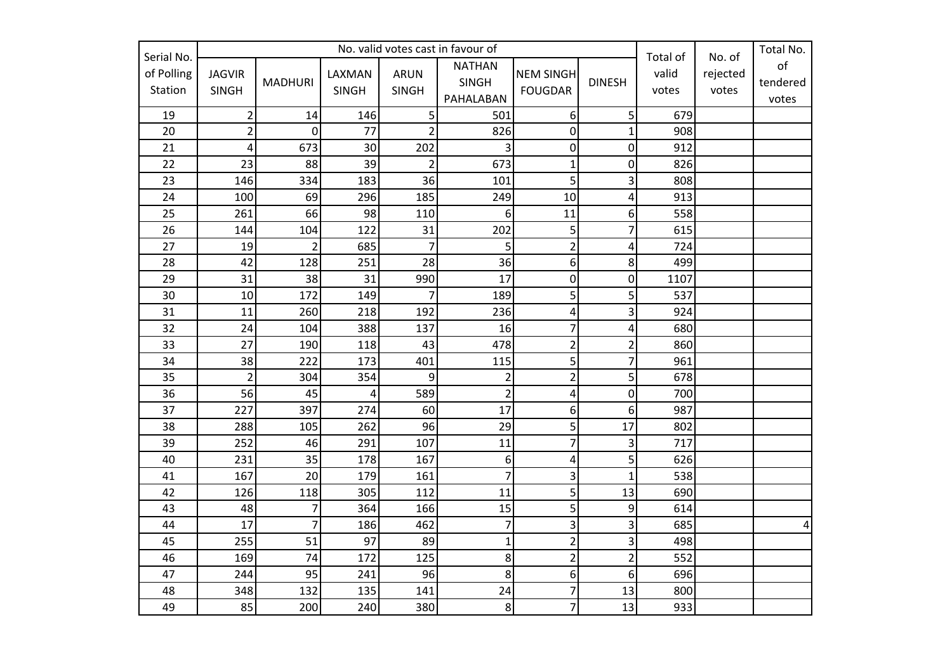| Serial No.            |                               |                | Total of               | No. of                      | Total No.                                  |                                    |                  |                |                   |                         |
|-----------------------|-------------------------------|----------------|------------------------|-----------------------------|--------------------------------------------|------------------------------------|------------------|----------------|-------------------|-------------------------|
| of Polling<br>Station | <b>JAGVIR</b><br><b>SINGH</b> | <b>MADHURI</b> | LAXMAN<br><b>SINGH</b> | <b>ARUN</b><br><b>SINGH</b> | <b>NATHAN</b><br><b>SINGH</b><br>PAHALABAN | <b>NEM SINGH</b><br><b>FOUGDAR</b> | <b>DINESH</b>    | valid<br>votes | rejected<br>votes | of<br>tendered<br>votes |
| 19                    | $\overline{2}$                | 14             | 146                    | 5                           | 501                                        | 6                                  | 5                | 679            |                   |                         |
| 20                    | $\overline{\mathbf{c}}$       | $\mathbf 0$    | 77                     | $\overline{2}$              | 826                                        | 0                                  | $\mathbf{1}$     | 908            |                   |                         |
| 21                    | 4                             | 673            | 30                     | 202                         | 3                                          | $\boldsymbol{0}$                   | 0                | 912            |                   |                         |
| 22                    | 23                            | 88             | 39                     | $\overline{c}$              | 673                                        | $\mathbf 1$                        | $\mathbf 0$      | 826            |                   |                         |
| 23                    | 146                           | 334            | 183                    | 36                          | 101                                        | $\overline{5}$                     | 3                | 808            |                   |                         |
| 24                    | 100                           | 69             | 296                    | 185                         | 249                                        | 10                                 | 4                | 913            |                   |                         |
| 25                    | 261                           | 66             | 98                     | 110                         | 6                                          | 11                                 | 6                | 558            |                   |                         |
| 26                    | 144                           | 104            | 122                    | 31                          | 202                                        | 5                                  | $\overline{7}$   | 615            |                   |                         |
| 27                    | 19                            | $\overline{2}$ | 685                    | $\overline{7}$              | 5                                          | $\overline{2}$                     | 4                | 724            |                   |                         |
| 28                    | 42                            | 128            | 251                    | 28                          | 36                                         | $6 \mid$                           | 8                | 499            |                   |                         |
| 29                    | 31                            | 38             | 31                     | 990                         | 17                                         | 0                                  | $\boldsymbol{0}$ | 1107           |                   |                         |
| 30                    | 10 <sup>1</sup>               | 172            | 149                    | $\overline{7}$              | 189                                        | $\overline{5}$                     | 5                | 537            |                   |                         |
| 31                    | 11                            | 260            | 218                    | 192                         | 236                                        | $\overline{4}$                     | 3                | 924            |                   |                         |
| 32                    | 24                            | 104            | 388                    | 137                         | 16                                         | $\overline{7}$                     | 4                | 680            |                   |                         |
| 33                    | 27                            | 190            | 118                    | 43                          | 478                                        | $\overline{2}$                     | $\overline{2}$   | 860            |                   |                         |
| 34                    | 38                            | 222            | 173                    | 401                         | 115                                        | $\overline{5}$                     | $\overline{7}$   | 961            |                   |                         |
| 35                    | $\overline{2}$                | 304            | 354                    | 9                           | $\overline{2}$                             | $\overline{2}$                     | 5                | 678            |                   |                         |
| 36                    | 56                            | 45             | 4                      | 589                         | $\overline{2}$                             | 4                                  | 0                | 700            |                   |                         |
| 37                    | 227                           | 397            | 274                    | 60                          | 17                                         | 6                                  | 6                | 987            |                   |                         |
| 38                    | 288                           | 105            | 262                    | 96                          | 29                                         | $\overline{5}$                     | 17               | 802            |                   |                         |
| 39                    | 252                           | 46             | 291                    | 107                         | 11                                         | $\overline{7}$                     | 3                | 717            |                   |                         |
| 40                    | 231                           | 35             | 178                    | 167                         | 6                                          | 4                                  | 5                | 626            |                   |                         |
| 41                    | 167                           | 20             | 179                    | 161                         | $\overline{7}$                             | $\overline{3}$                     | $\overline{1}$   | 538            |                   |                         |
| 42                    | 126                           | 118            | 305                    | 112                         | 11                                         | $\overline{5}$                     | 13               | 690            |                   |                         |
| 43                    | 48                            | $\overline{7}$ | 364                    | 166                         | 15                                         | 5                                  | 9                | 614            |                   |                         |
| 44                    | 17                            | $\overline{7}$ | 186                    | 462                         | $\overline{7}$                             | $\overline{\mathbf{3}}$            | 3                | 685            |                   | $\overline{4}$          |
| 45                    | 255                           | 51             | 97                     | 89                          | $\mathbf 1$                                | $\overline{2}$                     | 3                | 498            |                   |                         |
| 46                    | 169                           | 74             | 172                    | 125                         | 8                                          | $\overline{2}$                     | $\overline{2}$   | 552            |                   |                         |
| 47                    | 244                           | 95             | 241                    | 96                          | 8                                          | $\overline{6}$                     | $\boldsymbol{6}$ | 696            |                   |                         |
| 48                    | 348                           | 132            | 135                    | 141                         | 24                                         | $\overline{7}$                     | 13               | 800            |                   |                         |
| 49                    | 85                            | 200            | 240                    | 380                         | 8                                          | $\overline{7}$                     | 13               | 933            |                   |                         |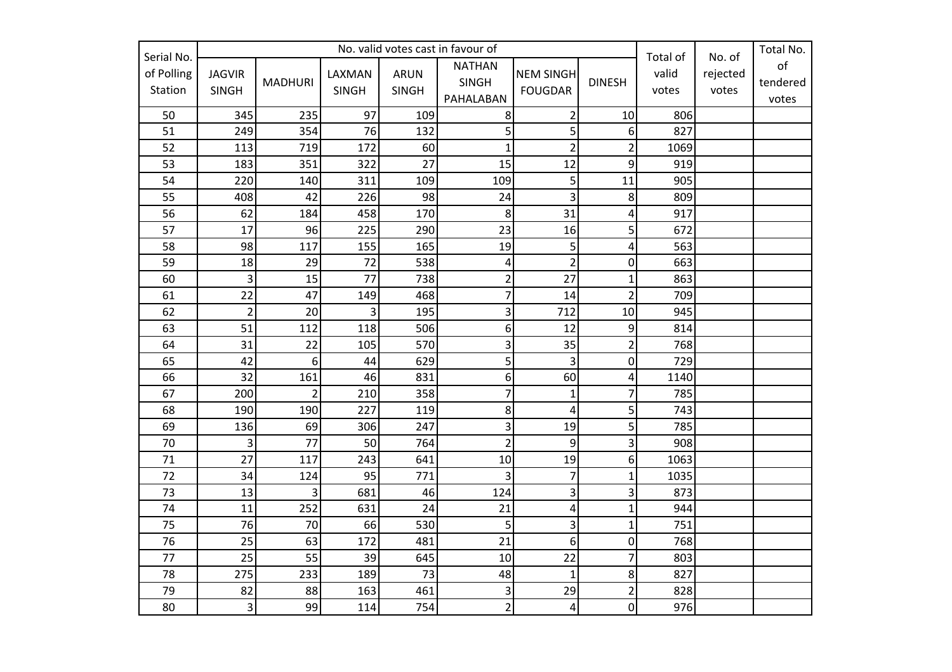|                                     |                               |                | Total of               | No. of               | Total No.                                  |                                    |                  |                |                   |                         |
|-------------------------------------|-------------------------------|----------------|------------------------|----------------------|--------------------------------------------|------------------------------------|------------------|----------------|-------------------|-------------------------|
| Serial No.<br>of Polling<br>Station | <b>JAGVIR</b><br><b>SINGH</b> | <b>MADHURI</b> | LAXMAN<br><b>SINGH</b> | ARUN<br><b>SINGH</b> | <b>NATHAN</b><br><b>SINGH</b><br>PAHALABAN | <b>NEM SINGH</b><br><b>FOUGDAR</b> | <b>DINESH</b>    | valid<br>votes | rejected<br>votes | of<br>tendered<br>votes |
| 50                                  | 345                           | 235            | 97                     | 109                  | 8                                          | $\overline{2}$                     | 10               | 806            |                   |                         |
| 51                                  | 249                           | 354            | 76                     | 132                  | 5                                          | 5                                  | 6                | 827            |                   |                         |
| 52                                  | 113                           | 719            | 172                    | 60                   | $\overline{1}$                             | $\overline{2}$                     | $\overline{2}$   | 1069           |                   |                         |
| 53                                  | 183                           | 351            | 322                    | 27                   | 15                                         | 12                                 | 9                | 919            |                   |                         |
| 54                                  | 220                           | 140            | 311                    | 109                  | 109                                        | 5 <sup>1</sup>                     | 11               | 905            |                   |                         |
| 55                                  | 408                           | 42             | 226                    | 98                   | 24                                         | $\overline{3}$                     | 8                | 809            |                   |                         |
| 56                                  | 62                            | 184            | 458                    | 170                  | 8                                          | 31                                 | 4                | 917            |                   |                         |
| 57                                  | 17                            | 96             | 225                    | 290                  | 23                                         | 16                                 | 5                | 672            |                   |                         |
| 58                                  | 98                            | 117            | 155                    | 165                  | 19                                         | 5 <sup>1</sup>                     | 4                | 563            |                   |                         |
| 59                                  | 18                            | 29             | 72                     | 538                  | $\pmb{4}$                                  | $\overline{2}$                     | $\boldsymbol{0}$ | 663            |                   |                         |
| 60                                  | $\overline{\mathbf{3}}$       | 15             | 77                     | 738                  | $\overline{c}$                             | 27                                 | $\mathbf{1}$     | 863            |                   |                         |
| 61                                  | 22                            | 47             | 149                    | 468                  | $\overline{7}$                             | 14                                 | $\overline{2}$   | 709            |                   |                         |
| 62                                  | $\overline{2}$                | 20             | 3                      | 195                  | 3                                          | 712                                | 10               | 945            |                   |                         |
| 63                                  | 51                            | 112            | 118                    | 506                  | 6                                          | 12                                 | 9                | 814            |                   |                         |
| 64                                  | 31                            | 22             | 105                    | 570                  | 3                                          | 35                                 | $\overline{2}$   | 768            |                   |                         |
| 65                                  | 42                            | 6              | 44                     | 629                  | 5                                          | $\overline{3}$                     | 0                | 729            |                   |                         |
| 66                                  | 32                            | 161            | 46                     | 831                  | 6                                          | 60                                 | 4                | 1140           |                   |                         |
| 67                                  | 200                           | $\overline{2}$ | 210                    | 358                  | 7                                          | $\mathbf 1$                        | $\overline{7}$   | 785            |                   |                         |
| 68                                  | 190                           | 190            | 227                    | 119                  | 8                                          | $\overline{4}$                     | 5                | 743            |                   |                         |
| 69                                  | 136                           | 69             | 306                    | 247                  | 3                                          | 19                                 | 5                | 785            |                   |                         |
| 70                                  | 3                             | 77             | 50                     | 764                  | $\overline{2}$                             | 9                                  | 3                | 908            |                   |                         |
| 71                                  | 27                            | 117            | 243                    | 641                  | 10                                         | 19                                 | 6                | 1063           |                   |                         |
| 72                                  | 34                            | 124            | 95                     | 771                  | 3                                          | $\overline{7}$                     | $\mathbf{1}$     | 1035           |                   |                         |
| 73                                  | 13                            | 3              | 681                    | 46                   | 124                                        | $\overline{3}$                     | 3                | 873            |                   |                         |
| 74                                  | 11                            | 252            | 631                    | 24                   | 21                                         | $\vert$                            | $\mathbf{1}$     | 944            |                   |                         |
| 75                                  | 76                            | 70             | 66                     | 530                  | 5                                          | $\overline{3}$                     | $\mathbf{1}$     | 751            |                   |                         |
| 76                                  | 25                            | 63             | 172                    | 481                  | 21                                         | $\overline{6}$                     | $\pmb{0}$        | 768            |                   |                         |
| 77                                  | 25                            | 55             | 39                     | 645                  | 10                                         | 22                                 | $\overline{7}$   | 803            |                   |                         |
| 78                                  | 275                           | 233            | 189                    | 73                   | 48                                         | $\mathbf{1}$                       | 8                | 827            |                   |                         |
| 79                                  | 82                            | 88             | 163                    | 461                  | 3                                          | 29                                 | $\overline{2}$   | 828            |                   |                         |
| 80                                  | 3                             | 99             | 114                    | 754                  | $\overline{2}$                             | $\vert 4 \vert$                    | 0                | 976            |                   |                         |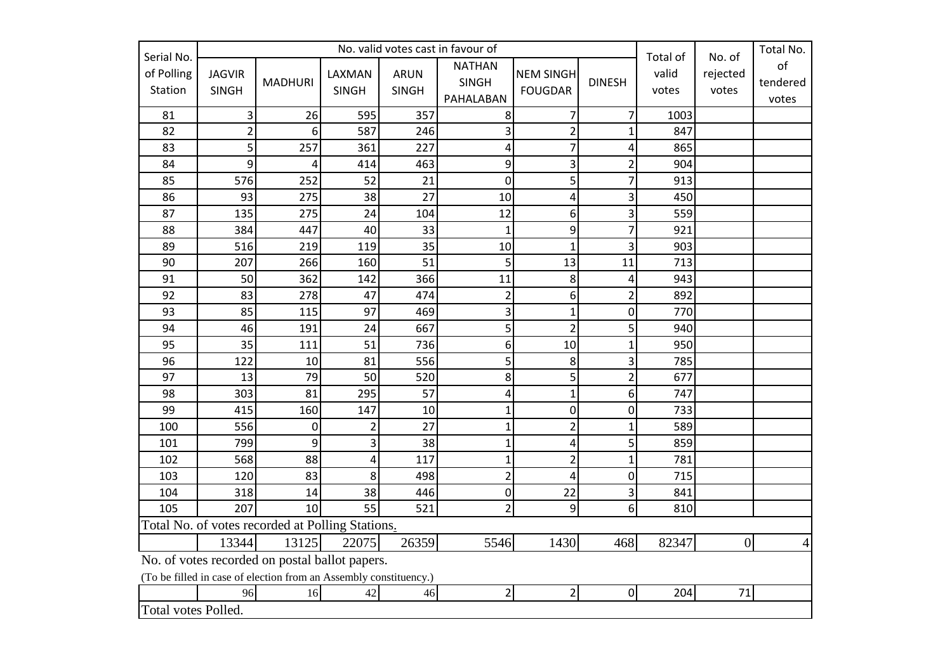| Serial No.            |                               |                                                                                                                     | Total of                | No. of                      | Total No.                                  |                                    |                  |                |                   |                         |
|-----------------------|-------------------------------|---------------------------------------------------------------------------------------------------------------------|-------------------------|-----------------------------|--------------------------------------------|------------------------------------|------------------|----------------|-------------------|-------------------------|
| of Polling<br>Station | <b>JAGVIR</b><br><b>SINGH</b> | <b>MADHURI</b>                                                                                                      | LAXMAN<br><b>SINGH</b>  | <b>ARUN</b><br><b>SINGH</b> | <b>NATHAN</b><br><b>SINGH</b><br>PAHALABAN | <b>NEM SINGH</b><br><b>FOUGDAR</b> | <b>DINESH</b>    | valid<br>votes | rejected<br>votes | of<br>tendered<br>votes |
| 81                    | $\mathsf 3$                   | 26                                                                                                                  | 595                     | 357                         | 8                                          | $\overline{7}$                     | $\overline{7}$   | 1003           |                   |                         |
| 82                    | $\overline{2}$                | 6                                                                                                                   | 587                     | 246                         | 3                                          | $\overline{2}$                     | $\overline{1}$   | 847            |                   |                         |
| 83                    | 5                             | 257                                                                                                                 | 361                     | 227                         | 4                                          | $\overline{7}$                     | 4                | 865            |                   |                         |
| 84                    | 9                             | 4                                                                                                                   | 414                     | 463                         | 9                                          | $\overline{3}$                     | $\overline{2}$   | 904            |                   |                         |
| 85                    | 576                           | 252                                                                                                                 | 52                      | 21                          | $\mathbf 0$                                | $\overline{5}$                     | $\overline{7}$   | 913            |                   |                         |
| 86                    | 93                            | 275                                                                                                                 | 38                      | 27                          | 10                                         | $\pmb{4}$                          | 3                | 450            |                   |                         |
| 87                    | 135                           | 275                                                                                                                 | 24                      | 104                         | 12                                         | 6 <sup>1</sup>                     | 3                | 559            |                   |                         |
| 88                    | 384                           | 447                                                                                                                 | 40                      | 33                          | $\overline{1}$                             | 9                                  | 7                | 921            |                   |                         |
| 89                    | 516                           | 219                                                                                                                 | 119                     | 35                          | 10                                         | $\mathbf{1}$                       | 3                | 903            |                   |                         |
| 90                    | 207                           | 266                                                                                                                 | 160                     | 51                          | 5                                          | 13                                 | 11               | 713            |                   |                         |
| 91                    | 50                            | 362                                                                                                                 | 142                     | 366                         | 11                                         | 8                                  | 4                | 943            |                   |                         |
| 92                    | 83                            | 278                                                                                                                 | 47                      | 474                         | $\overline{\mathbf{c}}$                    | 6                                  | $\overline{2}$   | 892            |                   |                         |
| 93                    | 85                            | 115                                                                                                                 | 97                      | 469                         | 3                                          | $\mathbf{1}$                       | $\boldsymbol{0}$ | 770            |                   |                         |
| 94                    | 46                            | 191                                                                                                                 | 24                      | 667                         | 5                                          | $\overline{2}$                     | 5                | 940            |                   |                         |
| 95                    | 35                            | 111                                                                                                                 | 51                      | 736                         | 6                                          | 10                                 | $\mathbf{1}$     | 950            |                   |                         |
| 96                    | 122                           | 10                                                                                                                  | 81                      | 556                         | 5                                          | 8                                  | 3                | 785            |                   |                         |
| 97                    | 13                            | 79                                                                                                                  | 50                      | 520                         | 8                                          | $\overline{5}$                     | $\overline{2}$   | 677            |                   |                         |
| 98                    | 303                           | 81                                                                                                                  | 295                     | 57                          | 4                                          | $\mathbf{1}$                       | 6                | 747            |                   |                         |
| 99                    | 415                           | 160                                                                                                                 | 147                     | 10                          | $\overline{1}$                             | 0                                  | 0                | 733            |                   |                         |
| 100                   | 556                           | 0                                                                                                                   | $\overline{2}$          | 27                          | $\overline{1}$                             | $\overline{2}$                     | $\mathbf{1}$     | 589            |                   |                         |
| 101                   | 799                           | 9                                                                                                                   | $\overline{\mathbf{3}}$ | 38                          | $\mathbf{1}$                               | $\vert$                            | 5                | 859            |                   |                         |
| 102                   | 568                           | 88                                                                                                                  | 4                       | 117                         | $\mathbf{1}$                               | $\overline{2}$                     | $\mathbf 1$      | 781            |                   |                         |
| 103                   | 120                           | 83                                                                                                                  | 8                       | 498                         | $\overline{2}$                             | $\overline{\mathbf{4}}$            | $\boldsymbol{0}$ | 715            |                   |                         |
| 104                   | 318                           | 14                                                                                                                  | 38                      | 446                         | 0                                          | 22                                 | 3                | 841            |                   |                         |
| 105                   | 207                           | 10                                                                                                                  | 55                      | 521                         | $\overline{2}$                             | 9                                  | 6                | 810            |                   |                         |
|                       |                               | Total No. of votes recorded at Polling Stations.                                                                    |                         |                             |                                            |                                    |                  |                |                   |                         |
|                       | 13344                         | 13125                                                                                                               | 22075                   | 26359                       | 5546                                       | 1430                               | 468              | 82347          | $\boldsymbol{0}$  | $\overline{4}$          |
|                       |                               | No. of votes recorded on postal ballot papers.<br>(To be filled in case of election from an Assembly constituency.) |                         |                             |                                            |                                    |                  |                |                   |                         |
|                       | 96                            | 16                                                                                                                  | 42                      | 46                          | $\overline{2}$                             | $\overline{2}$                     | $\mathbf 0$      | 204            | 71                |                         |
| Total votes Polled.   |                               |                                                                                                                     |                         |                             |                                            |                                    |                  |                |                   |                         |